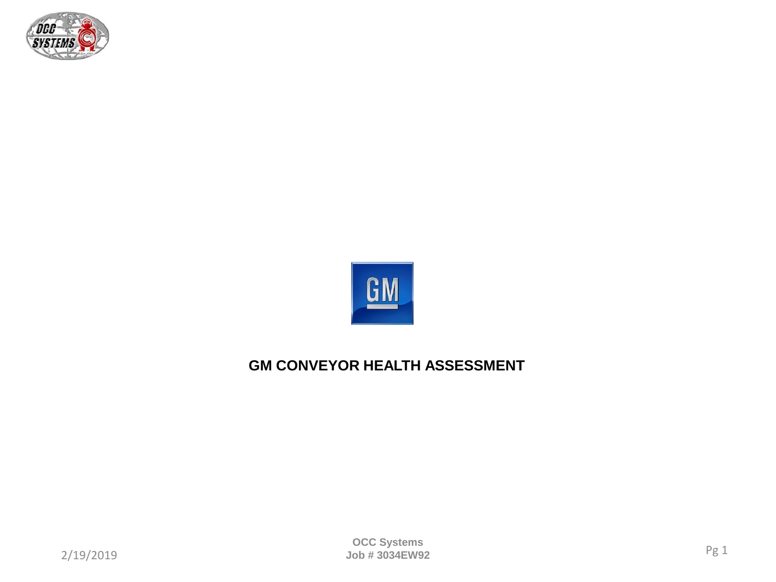



# **GM CONVEYOR HEALTH ASSESSMENT**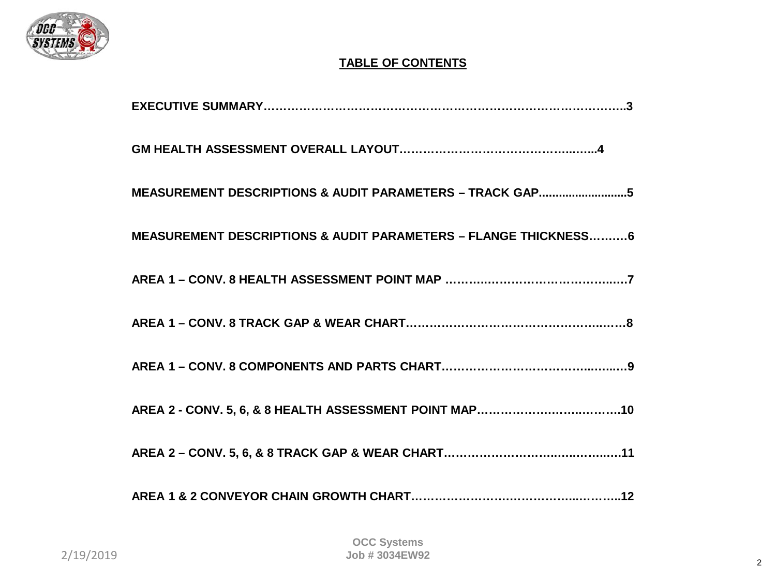

# **TABLE OF CONTENTS**

| MEASUREMENT DESCRIPTIONS & AUDIT PARAMETERS - TRACK GAP5        |
|-----------------------------------------------------------------|
| MEASUREMENT DESCRIPTIONS & AUDIT PARAMETERS - FLANGE THICKNESS6 |
|                                                                 |
|                                                                 |
|                                                                 |
|                                                                 |
|                                                                 |
|                                                                 |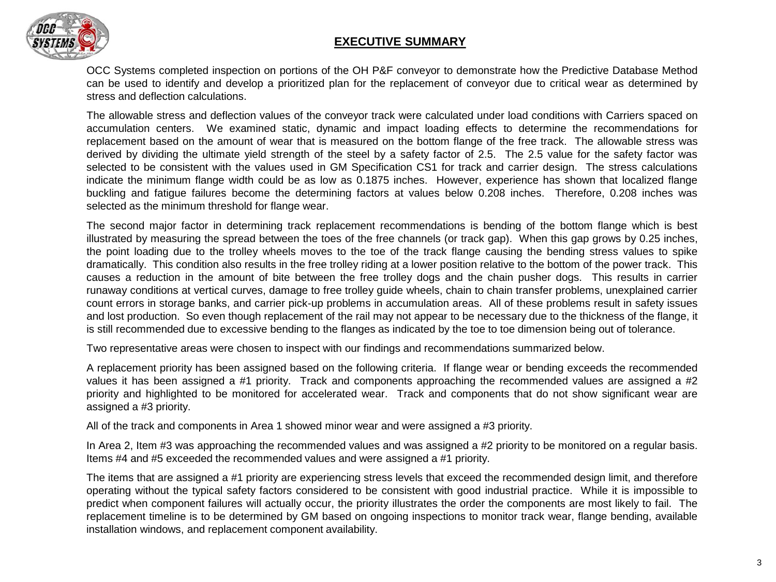

#### **EXECUTIVE SUMMARY**

OCC Systems completed inspection on portions of the OH P&F conveyor to demonstrate how the Predictive Database Method can be used to identify and develop a prioritized plan for the replacement of conveyor due to critical wear as determined by stress and deflection calculations.

The allowable stress and deflection values of the conveyor track were calculated under load conditions with Carriers spaced on accumulation centers. We examined static, dynamic and impact loading effects to determine the recommendations for replacement based on the amount of wear that is measured on the bottom flange of the free track. The allowable stress was derived by dividing the ultimate yield strength of the steel by a safety factor of 2.5. The 2.5 value for the safety factor was selected to be consistent with the values used in GM Specification CS1 for track and carrier design. The stress calculations indicate the minimum flange width could be as low as 0.1875 inches. However, experience has shown that localized flange buckling and fatigue failures become the determining factors at values below 0.208 inches. Therefore, 0.208 inches was selected as the minimum threshold for flange wear.

The second major factor in determining track replacement recommendations is bending of the bottom flange which is best illustrated by measuring the spread between the toes of the free channels (or track gap). When this gap grows by 0.25 inches, the point loading due to the trolley wheels moves to the toe of the track flange causing the bending stress values to spike dramatically. This condition also results in the free trolley riding at a lower position relative to the bottom of the power track. This causes a reduction in the amount of bite between the free trolley dogs and the chain pusher dogs. This results in carrier runaway conditions at vertical curves, damage to free trolley guide wheels, chain to chain transfer problems, unexplained carrier count errors in storage banks, and carrier pick-up problems in accumulation areas. All of these problems result in safety issues and lost production. So even though replacement of the rail may not appear to be necessary due to the thickness of the flange, it is still recommended due to excessive bending to the flanges as indicated by the toe to toe dimension being out of tolerance.

Two representative areas were chosen to inspect with our findings and recommendations summarized below.

A replacement priority has been assigned based on the following criteria. If flange wear or bending exceeds the recommended values it has been assigned a #1 priority. Track and components approaching the recommended values are assigned a #2 priority and highlighted to be monitored for accelerated wear. Track and components that do not show significant wear are assigned a #3 priority.

All of the track and components in Area 1 showed minor wear and were assigned a #3 priority.

In Area 2, Item #3 was approaching the recommended values and was assigned a #2 priority to be monitored on a regular basis. Items #4 and #5 exceeded the recommended values and were assigned a #1 priority.

The items that are assigned a #1 priority are experiencing stress levels that exceed the recommended design limit, and therefore operating without the typical safety factors considered to be consistent with good industrial practice. While it is impossible to predict when component failures will actually occur, the priority illustrates the order the components are most likely to fail. The replacement timeline is to be determined by GM based on ongoing inspections to monitor track wear, flange bending, available installation windows, and replacement component availability.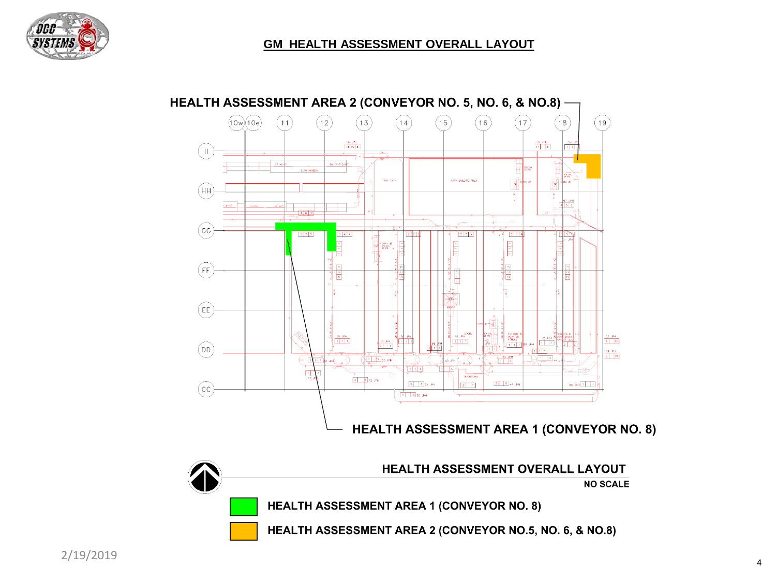



## HEALTH ASSESSMENT AREA 2 (CONVEYOR NO. 5, NO. 6, & NO.8) -

**HEALTH ASSESSMENT AREA 1 (CONVEYOR NO. 8)** 

HEALTH ASSESSMENT AREA 2 (CONVEYOR NO.5, NO. 6, & NO.8)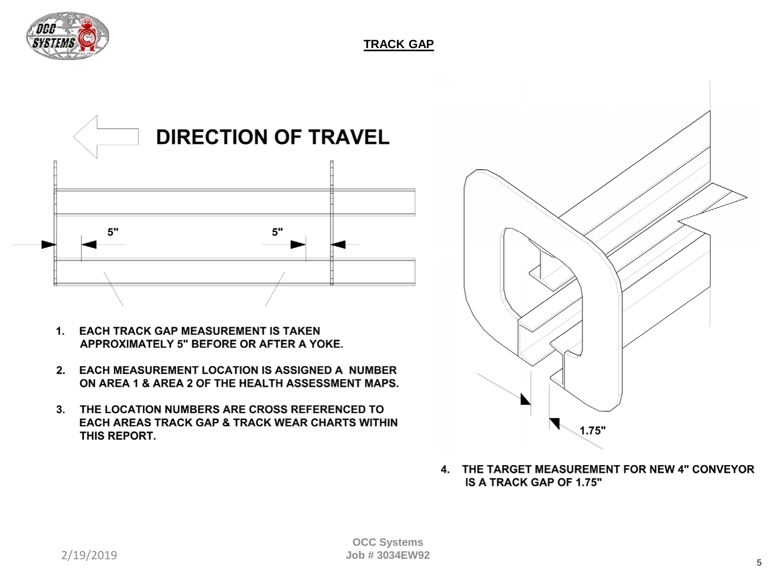



- 1. EACH TRACK GAP MEASUREMENT IS TAKEN APPROXIMATELY 5" BEFORE OR AFTER A YOKE.
- 2. EACH MEASUREMENT LOCATION IS ASSIGNED A NUMBER ON AREA 1 & AREA 2 OF THE HEALTH ASSESSMENT MAPS.
- 3. THE LOCATION NUMBERS ARE CROSS REFERENCED TO EACH AREAS TRACK GAP & TRACK WEAR CHARTS WITHIN THIS REPORT.



4. THE TARGET MEASUREMENT FOR NEW 4" CONVEYOR IS A TRACK GAP OF 1.75"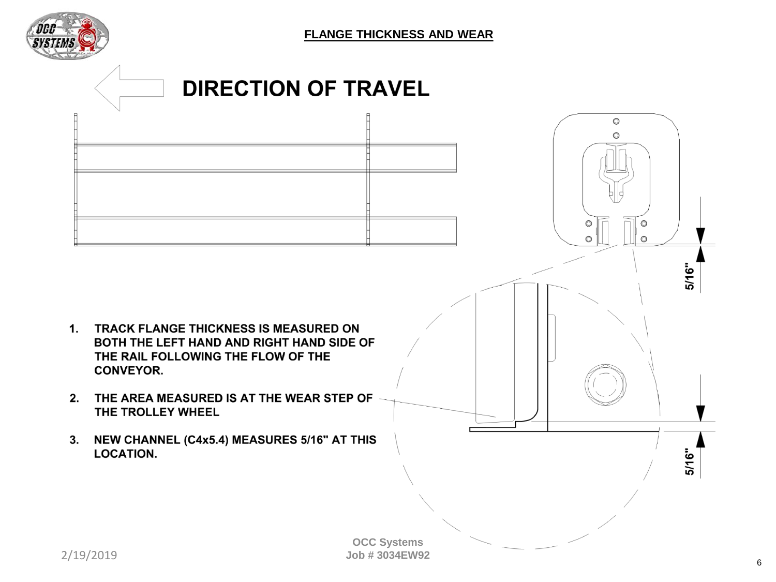

**FLANGE THICKNESS AND WEAR**



 $2/19/2019$  6 **OCC Systems Job # 3034EW92**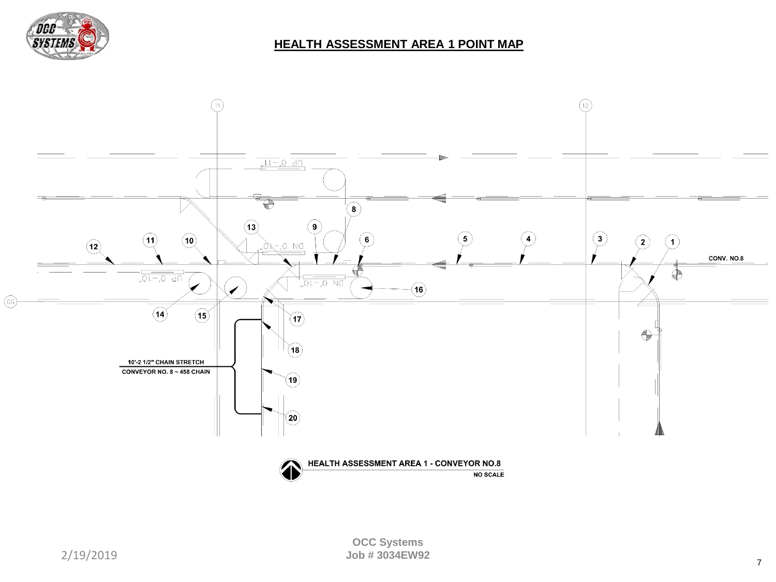

### **HEALTH ASSESSMENT AREA 1 POINT MAP**

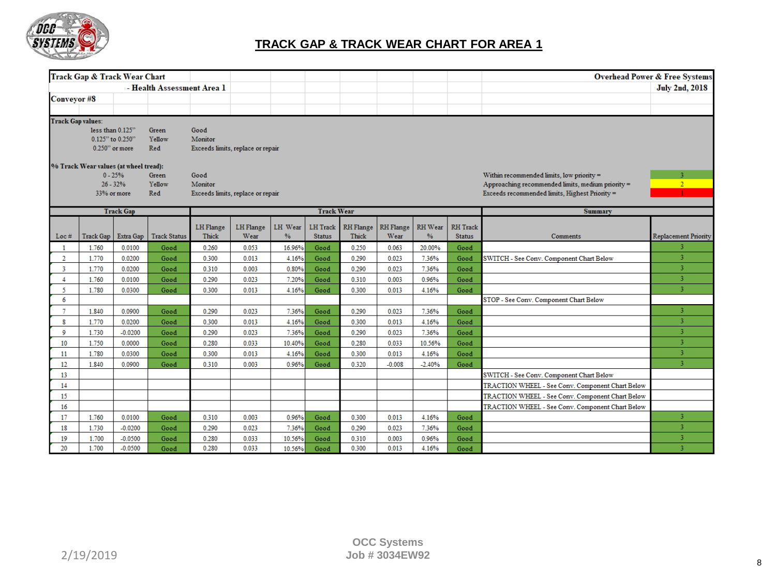

## **TRACK GAP & TRACK WEAR CHART FOR AREA 1**

|                          | <b>Track Gap &amp; Track Wear Chart</b> |                   |                            |                  |                                   |               |                   |                  |                  |          |                 |                                                   | <b>Overhead Power &amp; Free Systems</b> |
|--------------------------|-----------------------------------------|-------------------|----------------------------|------------------|-----------------------------------|---------------|-------------------|------------------|------------------|----------|-----------------|---------------------------------------------------|------------------------------------------|
|                          |                                         |                   | - Health Assessment Area 1 |                  |                                   |               |                   |                  |                  |          |                 |                                                   | <b>July 2nd, 2018</b>                    |
| <b>Conveyor #8</b>       |                                         |                   |                            |                  |                                   |               |                   |                  |                  |          |                 |                                                   |                                          |
|                          |                                         |                   |                            |                  |                                   |               |                   |                  |                  |          |                 |                                                   |                                          |
| <b>Track Gap values:</b> |                                         |                   |                            |                  |                                   |               |                   |                  |                  |          |                 |                                                   |                                          |
|                          | less than 0.125"                        |                   | Green                      | Good             |                                   |               |                   |                  |                  |          |                 |                                                   |                                          |
|                          | 0.125" to 0.250"                        |                   | Yellow                     | Monitor          |                                   |               |                   |                  |                  |          |                 |                                                   |                                          |
|                          |                                         | $0.250$ " or more | Red                        |                  | Exceeds limits, replace or repair |               |                   |                  |                  |          |                 |                                                   |                                          |
|                          | % Track Wear values (at wheel tread):   |                   |                            |                  |                                   |               |                   |                  |                  |          |                 |                                                   |                                          |
|                          |                                         | $0 - 25%$         | Green                      | Good             |                                   |               |                   |                  |                  |          |                 | Within recommended limits, low priority =         | 3                                        |
|                          |                                         | $26 - 32%$        | Yellow                     | Monitor          |                                   |               |                   |                  |                  |          |                 | Approaching recommended limits, medium priority = | 2 <sup>1</sup>                           |
|                          |                                         | 33% or more       | Red                        |                  | Exceeds limits, replace or repair |               |                   |                  |                  |          |                 | Exceeds recommended limits, Highest Priority =    |                                          |
|                          |                                         | <b>Track Gap</b>  |                            |                  |                                   |               | <b>Track Wear</b> |                  |                  |          |                 | Summary                                           |                                          |
|                          |                                         |                   |                            |                  |                                   |               |                   |                  |                  |          |                 |                                                   |                                          |
|                          |                                         |                   |                            | <b>LH</b> Flange | LH Flange                         | LH Wear       | LH Track          | <b>RH</b> Flange | <b>RH</b> Flange | RH Wear  | <b>RH</b> Track |                                                   |                                          |
| Loc#                     | <b>Track Gap</b>                        | Extra Gap         | <b>Track Status</b>        | <b>Thick</b>     | Wear                              | $\frac{9}{6}$ | <b>Status</b>     | Thick            | Wear             | $\%$     | <b>Status</b>   | Comments                                          | <b>Replacement Priority</b>              |
|                          | 1.760                                   | 0.0100            | Good                       | 0.260            | 0.053                             | 16.96%        | Good              | 0.250            | 0.063            | 20.00%   | Good            |                                                   |                                          |
| $\overline{2}$           | 1.770                                   | 0.0200            | Good                       | 0.300            | 0.013                             | 4.16%         | Good              | 0.290            | 0.023            | 7.36%    | Good            | SWITCH - See Conv. Component Chart Below          | 3                                        |
| 3                        | 1.770                                   | 0.0200            | Good                       | 0.310            | 0.003                             | 0.80%         | Good              | 0.290            | 0.023            | 7.36%    | Good            |                                                   | $\overline{\mathbf{3}}$                  |
| $\overline{4}$           | 1.760                                   | 0.0100            | Good                       | 0.290            | 0.023                             | 7.20%         | Good              | 0.310            | 0.003            | 0.96%    | Good            |                                                   | $\overline{3}$                           |
| 5.                       | 1.780                                   | 0.0300            | Good                       | 0.300            | 0.013                             | 4.16%         | Good              | 0.300            | 0.013            | 4.16%    | Good            |                                                   | $\overline{\mathbf{3}}$                  |
| 6                        |                                         |                   |                            |                  |                                   |               |                   |                  |                  |          |                 | STOP - See Conv. Component Chart Below            |                                          |
| $\tau$                   | 1.840                                   | 0.0900            | Good                       | 0.290            | 0.023                             | 7.36%         | Good              | 0.290            | 0.023            | 7.36%    | Good            |                                                   | 3                                        |
| 8                        | 1.770                                   | 0.0200            | Good                       | 0.300            | 0.013                             | 4.16%         | Good              | 0.300            | 0.013            | 4.16%    | Good            |                                                   | 3                                        |
| 9                        | 1.730                                   | $-0.0200$         | Good                       | 0.290            | 0.023                             | 7.36%         | Good              | 0.290            | 0.023            | 7.36%    | Good            |                                                   | 3                                        |
| 10                       | 1.750                                   | 0.0000            | Good                       | 0.280            | 0.033                             | 10.40%        | Good              | 0.280            | 0.033            | 10.56%   | Good            |                                                   | 3                                        |
| 11                       | 1.780                                   | 0.0300            | Good                       | 0.300            | 0.013                             | 4.16%         | Good              | 0.300            | 0.013            | 4.16%    | Good            |                                                   | 3                                        |
| 12                       | 1.840                                   | 0.0900            | Good                       | 0.310            | 0.003                             | 0.96%         | Good              | 0.320            | $-0.008$         | $-2.40%$ | Good            |                                                   | 3                                        |
| 13                       |                                         |                   |                            |                  |                                   |               |                   |                  |                  |          |                 | SWITCH - See Conv. Component Chart Below          |                                          |
| 14                       |                                         |                   |                            |                  |                                   |               |                   |                  |                  |          |                 | TRACTION WHEEL - See Conv. Component Chart Below  |                                          |
| 15                       |                                         |                   |                            |                  |                                   |               |                   |                  |                  |          |                 | TRACTION WHEEL - See Conv. Component Chart Below  |                                          |
| 16                       |                                         |                   |                            |                  |                                   |               |                   |                  |                  |          |                 | TRACTION WHEEL - See Conv. Component Chart Below  |                                          |
| 17                       | 1.760                                   | 0.0100            | Good                       | 0.310            | 0.003                             | 0.96%         | Good              | 0.300            | 0.013            | 4.16%    | Good            |                                                   | 3                                        |
| 18                       | 1.730                                   | $-0.0200$         | Good                       | 0.290            | 0.023                             | 7.36%         | Good              | 0.290            | 0.023            | 7.36%    | Good            |                                                   | 3                                        |
| 19                       | 1.700                                   | $-0.0500$         | Good                       | 0.280            | 0.033                             | 10.56%        | Good              | 0.310            | 0.003            | 0.96%    | Good            |                                                   | 3                                        |
| 20                       | 1.700                                   | $-0.0500$         | Good                       | 0.280            | 0.033                             | 10.56%        | Good              | 0.300            | 0.013            | 4.16%    | Good            |                                                   | $\overline{\mathbf{3}}$                  |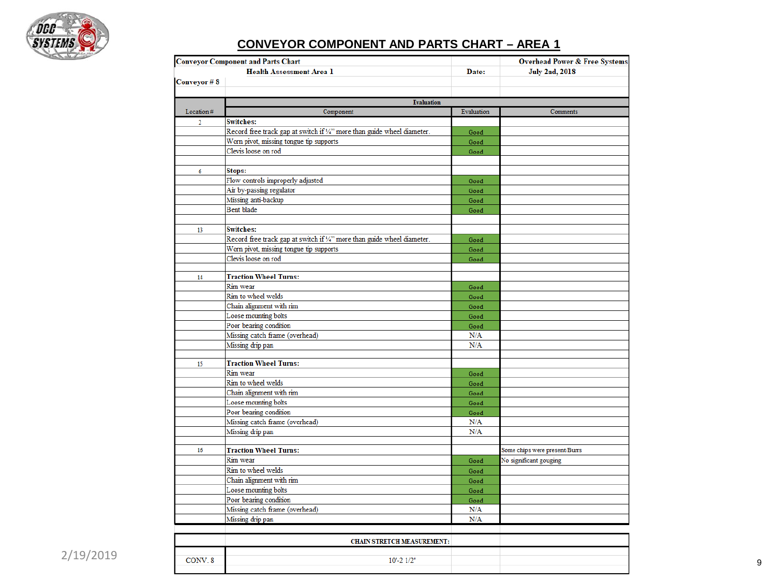

# **CONVEYOR COMPONENT AND PARTS CHART – AREA 1**

|                     | <b>Conveyor Component and Parts Chart</b>                               |              | <b>Overhead Power &amp; Free Systems</b> |
|---------------------|-------------------------------------------------------------------------|--------------|------------------------------------------|
|                     | <b>Health Assessment Area 1</b>                                         | Date:        | <b>July 2nd, 2018</b>                    |
| Conveyor #8         |                                                                         |              |                                          |
|                     |                                                                         |              |                                          |
|                     | <b>Evaluation</b>                                                       |              |                                          |
| Location#           | Component                                                               | Evaluation   | Comments                                 |
| $\overline{2}$      | <b>Switches:</b>                                                        |              |                                          |
|                     | Record free track gap at switch if '/4" more than guide wheel diameter. | Good         |                                          |
|                     | Worn pivot, missing tongue tip supports                                 | Good         |                                          |
|                     | Clevis loose on rod                                                     | Good         |                                          |
|                     |                                                                         |              |                                          |
| 6                   | Stops:                                                                  |              |                                          |
|                     | Flow controls improperly adjusted                                       | Good         |                                          |
|                     | Air by-passing regulator                                                | Good         |                                          |
|                     | Missing anti-backup                                                     | Good         |                                          |
|                     | Bent blade                                                              | Good         |                                          |
|                     |                                                                         |              |                                          |
| 13                  | <b>Switches:</b>                                                        |              |                                          |
|                     | Record free track gap at switch if 1/4" more than guide wheel diameter. | Good         |                                          |
|                     | Worn pivot, missing tongue tip supports                                 | Good         |                                          |
|                     | Clevis loose on rod                                                     | Good         |                                          |
|                     |                                                                         |              |                                          |
| 14                  | <b>Traction Wheel Turns:</b>                                            |              |                                          |
|                     | Rim wear                                                                | Good         |                                          |
|                     | Rim to wheel welds                                                      | Good         |                                          |
|                     | Chain alignment with rim                                                | Good         |                                          |
|                     | Loose mounting bolts                                                    | Good         |                                          |
|                     | Poor bearing condition                                                  | Good         |                                          |
|                     | Missing catch frame (overhead)                                          | N/A          |                                          |
|                     | Missing drip pan                                                        | N/A          |                                          |
|                     |                                                                         |              |                                          |
| 15                  | <b>Traction Wheel Turns:</b>                                            |              |                                          |
|                     | Rim wear                                                                | Good         |                                          |
|                     | Rim to wheel welds                                                      | Good         |                                          |
|                     | Chain alignment with rim                                                | Good         |                                          |
|                     | Loose mounting bolts                                                    | Good         |                                          |
|                     | Poor bearing condition                                                  | Good         |                                          |
|                     | Missing catch frame (overhead)                                          | N/A          |                                          |
|                     | Missing drip pan                                                        | N/A          |                                          |
| 16                  | <b>Traction Wheel Turns:</b>                                            |              | Some chips were present/Burrs            |
|                     | Rim wear                                                                | Good         | No significant gouging                   |
|                     | Rim to wheel welds                                                      | Good         |                                          |
|                     | Chain alignment with rim                                                | Good         |                                          |
|                     | Loose mounting bolts                                                    |              |                                          |
|                     | Poor bearing condition                                                  | Good<br>Good |                                          |
|                     | Missing catch frame (overhead)                                          | N/A          |                                          |
|                     | Missing drip pan                                                        | N/A          |                                          |
|                     |                                                                         |              |                                          |
|                     |                                                                         |              |                                          |
|                     | <b>CHAIN STRETCH MEASUREMENT:</b>                                       |              |                                          |
|                     |                                                                         |              |                                          |
| CONV <sub>.</sub> 8 | $10' - 21/2"$                                                           |              |                                          |
|                     |                                                                         |              |                                          |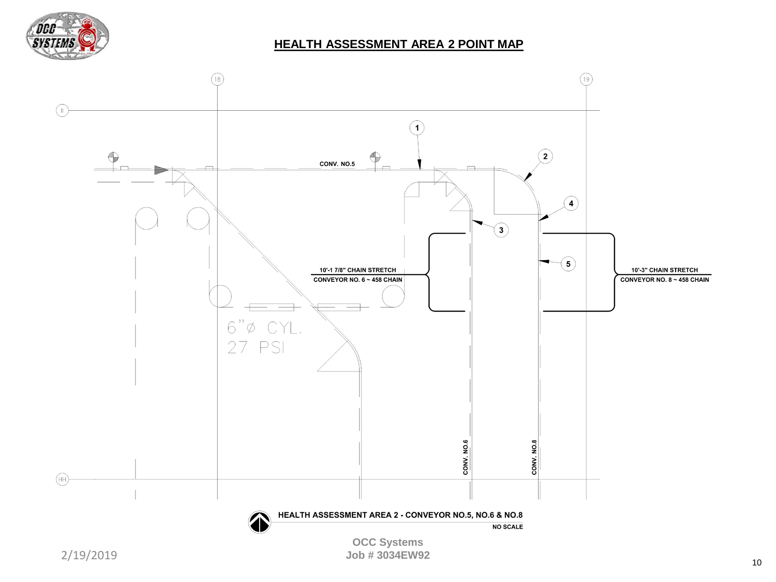

#### **HEALTH ASSESSMENT AREA 2 POINT MAP**

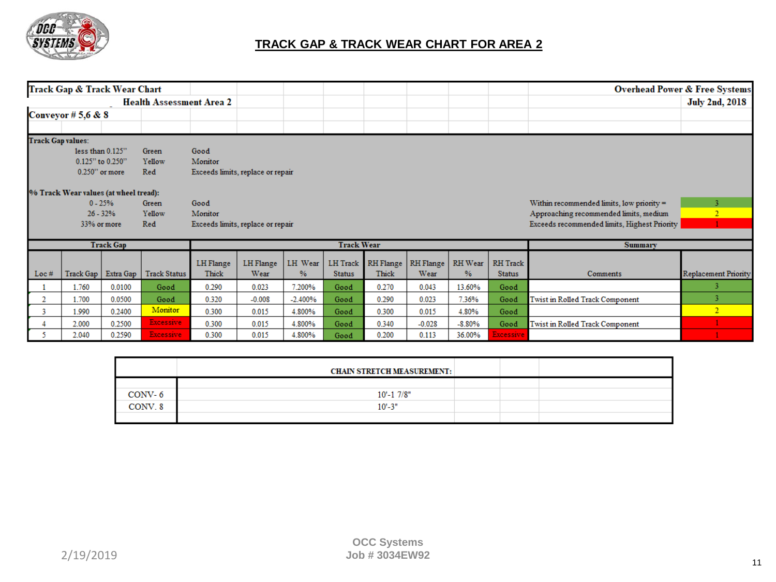

## **TRACK GAP & TRACK WEAR CHART FOR AREA 2**

| Track Gap & Track Wear Chart |                                       |                  |                                 |                                   |                  |           |               |                    |           |                |                  |                                              | <b>Overhead Power &amp; Free Systems</b> |
|------------------------------|---------------------------------------|------------------|---------------------------------|-----------------------------------|------------------|-----------|---------------|--------------------|-----------|----------------|------------------|----------------------------------------------|------------------------------------------|
|                              |                                       |                  | <b>Health Assessment Area 2</b> |                                   |                  |           |               |                    |           |                |                  |                                              | <b>July 2nd, 2018</b>                    |
| Conveyor # 5,6 & 8           |                                       |                  |                                 |                                   |                  |           |               |                    |           |                |                  |                                              |                                          |
|                              |                                       |                  |                                 |                                   |                  |           |               |                    |           |                |                  |                                              |                                          |
| <b>Track Gap values:</b>     |                                       |                  |                                 |                                   |                  |           |               |                    |           |                |                  |                                              |                                          |
|                              | less than 0.125"                      |                  | Green                           | Good                              |                  |           |               |                    |           |                |                  |                                              |                                          |
|                              | 0.125" to 0.250"                      |                  | Yellow                          | Monitor                           |                  |           |               |                    |           |                |                  |                                              |                                          |
|                              | $0.250$ " or more                     |                  | Red                             | Exceeds limits, replace or repair |                  |           |               |                    |           |                |                  |                                              |                                          |
|                              | % Track Wear values (at wheel tread): |                  |                                 |                                   |                  |           |               |                    |           |                |                  |                                              |                                          |
|                              |                                       | $0 - 25%$        | Green                           | Good                              |                  |           |               |                    |           |                |                  | Within recommended limits, low priority $=$  |                                          |
|                              |                                       | $26 - 32%$       | Yellow                          | Monitor                           |                  |           |               |                    |           |                |                  | Approaching recommended limits, medium       |                                          |
|                              | 33% or more                           |                  | Red                             | Exceeds limits, replace or repair |                  |           |               |                    |           |                |                  | Exceeds recommended limits, Highest Priority |                                          |
|                              |                                       |                  |                                 |                                   |                  |           |               |                    |           |                |                  |                                              |                                          |
|                              |                                       | <b>Track Gap</b> |                                 | <b>Track Wear</b>                 |                  |           |               |                    |           | <b>Summary</b> |                  |                                              |                                          |
|                              |                                       |                  |                                 | LH Flange                         | <b>LH</b> Flange | LH Wear   |               | LH Track RH Flange | RH Flange | RH Wear        | <b>RH</b> Track  |                                              |                                          |
| Loc $#$                      | Track Gap                             | Extra Gap        | <b>Track Status</b>             | Thick                             | Wear             | %         | <b>Status</b> | Thick              | Wear      | %              | <b>Status</b>    | Comments                                     | <b>Replacement Priority</b>              |
| 1.760<br>0.0100              |                                       |                  | Good                            | 0.290                             | 0.023            | 7.200%    | Good          | 0.270              | 0.043     | 13.60%         | Good             |                                              |                                          |
| 2                            | 1.700                                 | 0.0500           | Good                            | 0.320                             | $-0.008$         | $-2.400%$ | Good          | 0.290              | 0.023     | 7.36%          | Good             | Twist in Rolled Track Component              |                                          |
| 3                            | 1.990                                 | 0.2400           | <b>Monitor</b>                  | 0.300                             | 0.015            | 4.800%    | Good          | 0.300              | 0.015     | 4.80%          | Good             |                                              | $\overline{2}$                           |
|                              | 2.000                                 | 0.2500           | Excessive                       | 0.300                             | 0.015            | 4.800%    | Good          | 0.340              | $-0.028$  | $-8.80%$       | Good             | Twist in Rolled Track Component              |                                          |
|                              | 2.040                                 | 0.2590           | Excessive,                      | 0.300                             | 0.015            | 4.800%    | Good          | 0.200              | 0.113     | 36.00%         | <b>Excessive</b> |                                              |                                          |

|         | <b>CHAIN STRETCH MEASUREMENT:</b> |  |  |
|---------|-----------------------------------|--|--|
|         |                                   |  |  |
| CONV-6  | $10' - 17/8"$                     |  |  |
| CONV. 8 | $10' - 3"$                        |  |  |
|         |                                   |  |  |